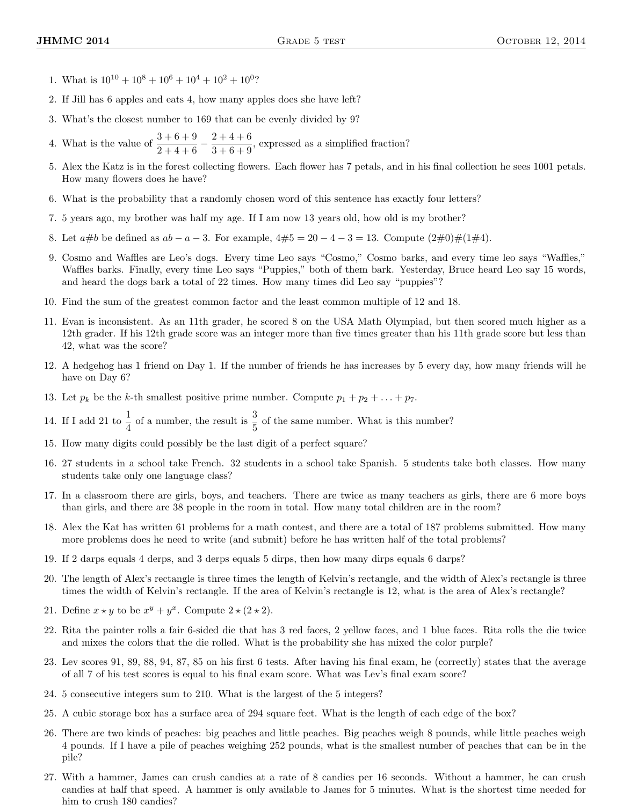- 1. What is  $10^{10} + 10^8 + 10^6 + 10^4 + 10^2 + 10^0$ ?
- 2. If Jill has 6 apples and eats 4, how many apples does she have left?
- 3. What's the closest number to 169 that can be evenly divided by 9?
- 4. What is the value of  $\frac{3+6+9}{2+4+6} \frac{2+4+6}{3+6+9}$  $\frac{2+1+8}{3+6+9}$ , expressed as a simplified fraction?
- 5. Alex the Katz is in the forest collecting flowers. Each flower has 7 petals, and in his final collection he sees 1001 petals. How many flowers does he have?
- 6. What is the probability that a randomly chosen word of this sentence has exactly four letters?
- 7. 5 years ago, my brother was half my age. If I am now 13 years old, how old is my brother?
- 8. Let  $a\#b$  be defined as  $ab a 3$ . For example,  $4\#5 = 20 4 3 = 13$ . Compute  $(2\#0)\#(1\#4)$ .
- 9. Cosmo and Waffles are Leo's dogs. Every time Leo says "Cosmo," Cosmo barks, and every time leo says "Waffles," Waffles barks. Finally, every time Leo says "Puppies," both of them bark. Yesterday, Bruce heard Leo say 15 words, and heard the dogs bark a total of 22 times. How many times did Leo say "puppies"?
- 10. Find the sum of the greatest common factor and the least common multiple of 12 and 18.
- 11. Evan is inconsistent. As an 11th grader, he scored 8 on the USA Math Olympiad, but then scored much higher as a 12th grader. If his 12th grade score was an integer more than five times greater than his 11th grade score but less than 42, what was the score?
- 12. A hedgehog has 1 friend on Day 1. If the number of friends he has increases by 5 every day, how many friends will he have on Day 6?
- 13. Let  $p_k$  be the k-th smallest positive prime number. Compute  $p_1 + p_2 + \ldots + p_7$ .
- 14. If I add 21 to  $\frac{1}{4}$  of a number, the result is  $\frac{3}{5}$  of the same number. What is this number?
- 15. How many digits could possibly be the last digit of a perfect square?
- 16. 27 students in a school take French. 32 students in a school take Spanish. 5 students take both classes. How many students take only one language class?
- 17. In a classroom there are girls, boys, and teachers. There are twice as many teachers as girls, there are 6 more boys than girls, and there are 38 people in the room in total. How many total children are in the room?
- 18. Alex the Kat has written 61 problems for a math contest, and there are a total of 187 problems submitted. How many more problems does he need to write (and submit) before he has written half of the total problems?
- 19. If 2 darps equals 4 derps, and 3 derps equals 5 dirps, then how many dirps equals 6 darps?
- 20. The length of Alex's rectangle is three times the length of Kelvin's rectangle, and the width of Alex's rectangle is three times the width of Kelvin's rectangle. If the area of Kelvin's rectangle is 12, what is the area of Alex's rectangle?
- 21. Define  $x \star y$  to be  $x^y + y^x$ . Compute  $2 \star (2 \star 2)$ .
- 22. Rita the painter rolls a fair 6-sided die that has 3 red faces, 2 yellow faces, and 1 blue faces. Rita rolls the die twice and mixes the colors that the die rolled. What is the probability she has mixed the color purple?
- 23. Lev scores 91, 89, 88, 94, 87, 85 on his first 6 tests. After having his final exam, he (correctly) states that the average of all 7 of his test scores is equal to his final exam score. What was Lev's final exam score?
- 24. 5 consecutive integers sum to 210. What is the largest of the 5 integers?
- 25. A cubic storage box has a surface area of 294 square feet. What is the length of each edge of the box?
- 26. There are two kinds of peaches: big peaches and little peaches. Big peaches weigh 8 pounds, while little peaches weigh 4 pounds. If I have a pile of peaches weighing 252 pounds, what is the smallest number of peaches that can be in the pile?
- 27. With a hammer, James can crush candies at a rate of 8 candies per 16 seconds. Without a hammer, he can crush candies at half that speed. A hammer is only available to James for 5 minutes. What is the shortest time needed for him to crush 180 candies?